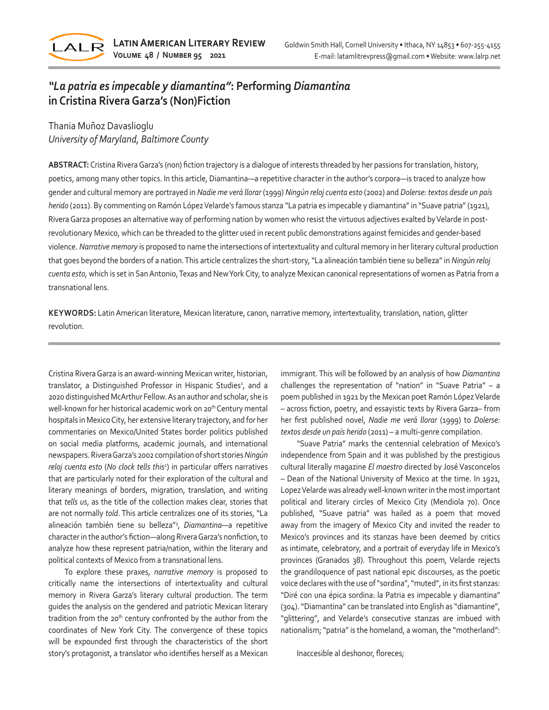

## *"La patria es impecable y diamantina"***: Performing** *Diamantina* **in Cristina Rivera Garza's (Non)Fiction**

Thania Muñoz Davaslioglu *University of Maryland, Baltimore County* 

**ABSTRACT:** Cristina Rivera Garza's (non) fiction trajectory is a dialogue of interests threaded by her passions for translation, history, poetics, among many other topics. In this article, Diamantina—a repetitive character in the author's corpora—is traced to analyze how gender and cultural memory are portrayed in *Nadie me verá llorar* (1999) *Ningún reloj cuenta esto* (2002) and *Dolerse: textos desde un país herido* (2011). By commenting on Ramón López Velarde's famous stanza "La patria es impecable y diamantina" in "Suave patria"(1921), Rivera Garza proposes an alternative way of performing nation by women who resist the virtuous adjectives exalted by Velarde in postrevolutionary Mexico, which can be threaded to the glitter used in recent public demonstrations against femicides and gender-based violence. *Narrative memory* is proposed to name the intersections of intertextuality and cultural memory in her literary cultural production that goes beyond the borders of a nation. This article centralizes the short-story, "La alineación también tiene su belleza" in *Ningún reloj cuenta esto,* which is set in San Antonio, Texas and New York City, to analyze Mexican canonical representations of women as Patria from a transnational lens.

**KEYWORDS:** Latin American literature, Mexican literature, canon, narrative memory, intertextuality, translation, nation, glitter revolution.

Cristina Rivera Garza is an award-winning Mexican writer, historian, translator, a Distinguished Professor in Hispanic Studies<sup>1</sup>, and a 2020 distinguished McArthur Fellow. As an author and scholar, she is well-known for her historical academic work on 20<sup>th</sup> Century mental hospitals in Mexico City, her extensive literary trajectory, and for her commentaries on Mexico/United States border politics published on social media platforms, academic journals, and international newspapers. Rivera Garza's 2002 compilation of short stories *Ningún reloj cuenta esto* (*No clock tells this2* ) in particular offers narratives that are particularly noted for their exploration of the cultural and literary meanings of borders, migration, translation, and writing that *tells us*, as the title of the collection makes clear, stories that are not normally *told*. This article centralizes one of its stories, "La alineación también tiene su belleza"3 , *Diamantina—*a repetitive character in the author's fiction—along Rivera Garza's nonfiction, to analyze how these represent patria/nation, within the literary and political contexts of Mexico from a transnational lens.

To explore these praxes, *narrative memory* is proposed to critically name the intersections of intertextuality and cultural memory in Rivera Garza's literary cultural production. The term guides the analysis on the gendered and patriotic Mexican literary tradition from the 20<sup>th</sup> century confronted by the author from the coordinates of New York City. The convergence of these topics will be expounded first through the characteristics of the short story's protagonist, a translator who identifies herself as a Mexican immigrant. This will be followed by an analysis of how *Diamantina* challenges the representation of "nation" in "Suave Patria" – a poem published in 1921 by the Mexican poet Ramón López Velarde – across fiction, poetry, and essayistic texts by Rivera Garza– from her first published novel, *Nadie me verá llorar* (1999) to *Dolerse: textos desde un país herido* (2011) *–* a multi-genre compilation.

"Suave Patria" marks the centennial celebration of Mexico's independence from Spain and it was published by the prestigious cultural literally magazine *El maestro* directed by José Vasconcelos – Dean of the National University of Mexico at the time. In 1921, Lopez Velarde was already well-known writer in the most important political and literary circles of Mexico City (Mendiola 70). Once published, "Suave patria" was hailed as a poem that moved away from the imagery of Mexico City and invited the reader to Mexico's provinces and its stanzas have been deemed by critics as intimate, celebratory, and a portrait of everyday life in Mexico's provinces (Granados 38). Throughout this poem, Velarde rejects the grandiloquence of past national epic discourses, as the poetic voice declares with the use of "sordina", "muted", in its first stanzas: "Diré con una épica sordina: la Patria es impecable y diamantina" (304). "Diamantina" can be translated into English as "diamantine", "glittering", and Velarde's consecutive stanzas are imbued with nationalism; "patria" is the homeland, a woman, the "motherland":

Inaccesible al deshonor, floreces;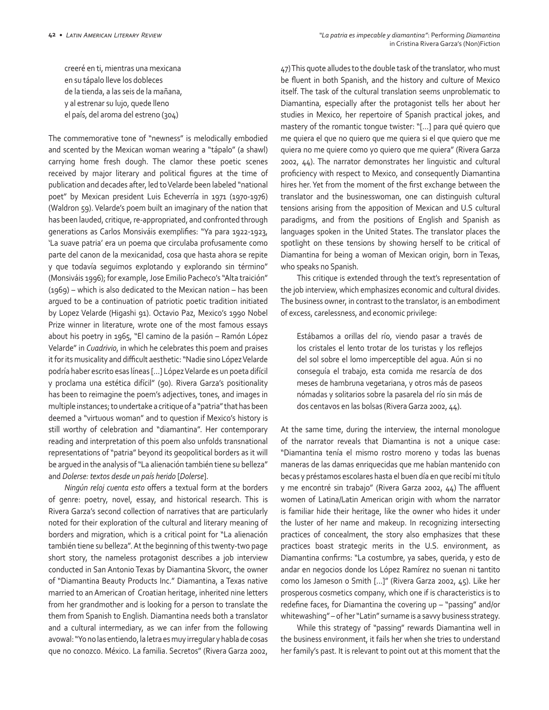creeré en ti, mientras una mexicana en su tápalo lleve los dobleces de la tienda, a las seis de la mañana, y al estrenar su lujo, quede lleno el país, del aroma del estreno (304)

The commemorative tone of "newness" is melodically embodied and scented by the Mexican woman wearing a "tápalo" (a shawl) carrying home fresh dough. The clamor these poetic scenes received by major literary and political figures at the time of publication and decades after, led to Velarde been labeled "national poet" by Mexican president Luis Echeverría in 1971 (1970-1976) (Waldron 59). Velarde's poem built an imaginary of the nation that has been lauded, critique, re-appropriated, and confronted through generations as Carlos Monsiváis exemplifies: "Ya para 1922-1923, 'La suave patria' era un poema que circulaba profusamente como parte del canon de la mexicanidad, cosa que hasta ahora se repite y que todavía seguimos explotando y explorando sin término" (Monsiváis 1996); for example, Jose Emilio Pacheco's "Alta traición" (1969) – which is also dedicated to the Mexican nation – has been argued to be a continuation of patriotic poetic tradition initiated by Lopez Velarde (Higashi 91). Octavio Paz, Mexico's 1990 Nobel Prize winner in literature, wrote one of the most famous essays about his poetry in 1965, "El camino de la pasión – Ramón López Velarde" in *Cuadrivio*, in which he celebrates this poem and praises it for its musicality and difficult aesthetic: "Nadie sino López Velarde podría haber escrito esas líneas […] López Velarde es un poeta difícil y proclama una estética difícil" (90). Rivera Garza's positionality has been to reimagine the poem's adjectives, tones, and images in multiple instances; to undertake a critique of a "patria" that has been deemed a "virtuous woman" and to question if Mexico's history is still worthy of celebration and "diamantina". Her contemporary reading and interpretation of this poem also unfolds transnational representations of "patria" beyond its geopolitical borders as it will be argued in the analysis of "La alienación también tiene su belleza" and *Dolerse: textos desde un país herido* [*Dolerse*].

*Ningún reloj cuenta esto* offers a textual form at the borders of genre: poetry, novel, essay, and historical research. This is Rivera Garza's second collection of narratives that are particularly noted for their exploration of the cultural and literary meaning of borders and migration, which is a critical point for "La alienación también tiene su belleza". At the beginning of this twenty-two page short story, the nameless protagonist describes a job interview conducted in San Antonio Texas by Diamantina Skvorc, the owner of "Diamantina Beauty Products Inc." Diamantina, a Texas native married to an American of Croatian heritage, inherited nine letters from her grandmother and is looking for a person to translate the them from Spanish to English. Diamantina needs both a translator and a cultural intermediary, as we can infer from the following avowal: "Yo no las entiendo, la letra es muy irregular y habla de cosas que no conozco. México. La familia. Secretos" (Rivera Garza 2002,

47) This quote alludes to the double task of the translator, who must be fluent in both Spanish, and the history and culture of Mexico itself. The task of the cultural translation seems unproblematic to Diamantina, especially after the protagonist tells her about her studies in Mexico, her repertoire of Spanish practical jokes, and mastery of the romantic tongue twister: "[…] para qué quiero que me quiera el que no quiero que me quiera si el que quiero que me quiera no me quiere como yo quiero que me quiera" (Rivera Garza 2002, 44). The narrator demonstrates her linguistic and cultural proficiency with respect to Mexico, and consequently Diamantina hires her. Yet from the moment of the first exchange between the translator and the businesswoman, one can distinguish cultural tensions arising from the apposition of Mexican and U.S cultural paradigms, and from the positions of English and Spanish as languages spoken in the United States. The translator places the spotlight on these tensions by showing herself to be critical of Diamantina for being a woman of Mexican origin, born in Texas, who speaks no Spanish.

This critique is extended through the text's representation of the job interview, which emphasizes economic and cultural divides. The business owner, in contrast to the translator, is an embodiment of excess, carelessness, and economic privilege:

Estábamos a orillas del río, viendo pasar a través de los cristales el lento trotar de los turistas y los reflejos del sol sobre el lomo imperceptible del agua. Aún si no conseguía el trabajo, esta comida me resarcía de dos meses de hambruna vegetariana, y otros más de paseos nómadas y solitarios sobre la pasarela del río sin más de dos centavos en las bolsas (Rivera Garza 2002, 44).

At the same time, during the interview, the internal monologue of the narrator reveals that Diamantina is not a unique case: "Diamantina tenía el mismo rostro moreno y todas las buenas maneras de las damas enriquecidas que me habían mantenido con becas y préstamos escolares hasta el buen día en que recibí mi título y me encontré sin trabajo" (Rivera Garza 2002, 44) The affluent women of Latina/Latin American origin with whom the narrator is familiar hide their heritage, like the owner who hides it under the luster of her name and makeup. In recognizing intersecting practices of concealment, the story also emphasizes that these practices boast strategic merits in the U.S. environment, as Diamantina confirms: "La costumbre, ya sabes, querida, y esto de andar en negocios donde los López Ramírez no suenan ni tantito como los Jameson o Smith […]" (Rivera Garza 2002, 45). Like her prosperous cosmetics company, which one if is characteristics is to redefine faces, for Diamantina the covering up – "passing" and/or whitewashing" – of her "Latin" surname is a savvy business strategy.

While this strategy of "passing" rewards Diamantina well in the business environment, it fails her when she tries to understand her family's past. It is relevant to point out at this moment that the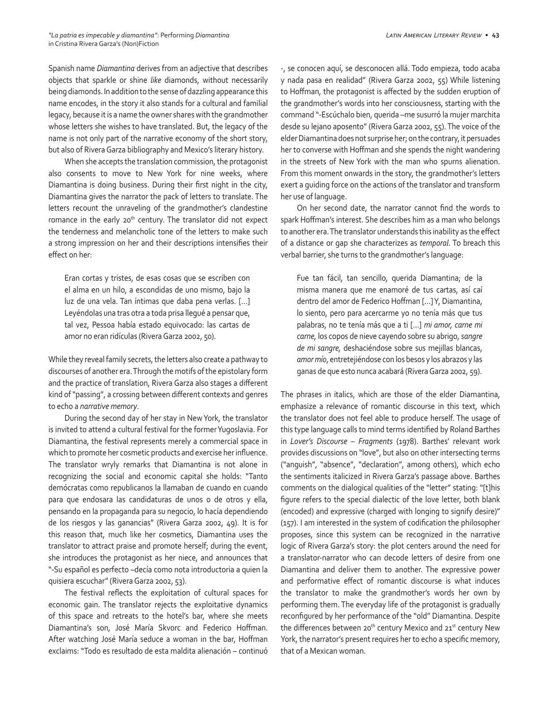Spanish name *Diamantina* derives from an adjective that describes objects that sparkle or shine *like* diamonds, without necessarily being diamonds. In addition to the sense of dazzling appearance this name encodes, in the story it also stands for a cultural and familial legacy, because it is a name the owner shares with the grandmother whose letters she wishes to have translated. But, the legacy of the name is not only part of the narrative economy of the short story, but also of Rivera Garza bibliography and Mexico's literary history.

When she accepts the translation commission, the protagonist also consents to move to New York for nine weeks, where Diamantina is doing business. During their first night in the city, Diamantina gives the narrator the pack of letters to translate. The letters recount the unraveling of the grandmother's clandestine romance in the early 20<sup>th</sup> century. The translator did not expect the tenderness and melancholic tone of the letters to make such a strong impression on her and their descriptions intensifies their effect on her:

Eran cortas y tristes, de esas cosas que se escriben con el alma en un hilo, a escondidas de uno mismo, bajo la luz de una vela. Tan íntimas que daba pena verlas. […] Leyéndolas una tras otra a toda prisa llegué a pensar que, tal vez, Pessoa había estado equivocado: las cartas de amor no eran ridículas (Rivera Garza 2002, 50).

While they reveal family secrets, the letters also create a pathway to discourses of another era. Through the motifs of the epistolary form and the practice of translation, Rivera Garza also stages a different kind of "passing", a crossing between different contexts and genres to echo a *narrative memory*.

During the second day of her stay in New York, the translator is invited to attend a cultural festival for the former Yugoslavia. For Diamantina, the festival represents merely a commercial space in which to promote her cosmetic products and exercise her influence. The translator wryly remarks that Diamantina is not alone in recognizing the social and economic capital she holds: "Tanto demócratas como republicanos la llamaban de cuando en cuando para que endosara las candidaturas de unos o de otros y ella, pensando en la propaganda para su negocio, lo hacía dependiendo de los riesgos y las ganancias" (Rivera Garza 2002, 49). It is for this reason that, much like her cosmetics, Diamantina uses the translator to attract praise and promote herself; during the event, she introduces the protagonist as her niece, and announces that "-Su español es perfecto –decía como nota introductoria a quien la quisiera escuchar" (Rivera Garza 2002, 53).

The festival reflects the exploitation of cultural spaces for economic gain. The translator rejects the exploitative dynamics of this space and retreats to the hotel's bar, where she meets Diamantina's son, José María Skvorc and Federico Hoffman. After watching José María seduce a woman in the bar, Hoffman exclaims: "Todo es resultado de esta maldita alienación – continuó

-, se conocen aquí, se desconocen allá. Todo empieza, todo acaba y nada pasa en realidad" (Rivera Garza 2002, 55) While listening to Hoffman, the protagonist is affected by the sudden eruption of the grandmother's words into her consciousness, starting with the command "-Escúchalo bien, querida –me susurró la mujer marchita desde su lejano aposento" (Rivera Garza 2002, 55). The voice of the elder Diamantina does not surprise her; on the contrary, it persuades her to converse with Hoffman and she spends the night wandering in the streets of New York with the man who spurns alienation. From this moment onwards in the story, the grandmother's letters exert a guiding force on the actions of the translator and transform her use of language.

On her second date, the narrator cannot find the words to spark Hoffman's interest. She describes him as a man who belongs to another era. The translator understands this inability as the effect of a distance or gap she characterizes as *temporal*. To breach this verbal barrier, she turns to the grandmother's language:

Fue tan fácil, tan sencillo, querida Diamantina; de la misma manera que me enamoré de tus cartas, así caí dentro del amor de Federico Hoffman […] Y, Diamantina, lo siento, pero para acercarme yo no tenía más que tus palabras, no te tenía más que a ti […] *mi amor, carne mi carne,* los copos de nieve cayendo sobre su abrigo, *sangre de mi sangre,* deshaciéndose sobre sus mejillas blancas, *amor mío*, entretejiéndose con los besos y los abrazos y las ganas de que esto nunca acabará (Rivera Garza 2002, 59).

The phrases in italics, which are those of the elder Diamantina, emphasize a relevance of romantic discourse in this text, which the translator does not feel able to produce herself. The usage of this type language calls to mind terms identified by Roland Barthes in *Lover's Discourse – Fragments* (1978). Barthes' relevant work provides discussions on "love", but also on other intersecting terms ("anguish", "absence", "declaration", among others), which echo the sentiments italicized in Rivera Garza's passage above. Barthes comments on the dialogical qualities of the "letter" stating: "[t]his figure refers to the special dialectic of the love letter, both blank (encoded) and expressive (charged with longing to signify desire)" (157). I am interested in the system of codification the philosopher proposes, since this system can be recognized in the narrative logic of Rivera Garza's story: the plot centers around the need for a translator-narrator who can decode letters of desire from one Diamantina and deliver them to another. The expressive power and performative effect of romantic discourse is what induces the translator to make the grandmother's words her own by performing them. The everyday life of the protagonist is gradually reconfigured by her performance of the "old" Diamantina. Despite the differences between 20<sup>th</sup> century Mexico and 21<sup>st</sup> century New York, the narrator's present requires her to echo a specific memory, that of a Mexican woman.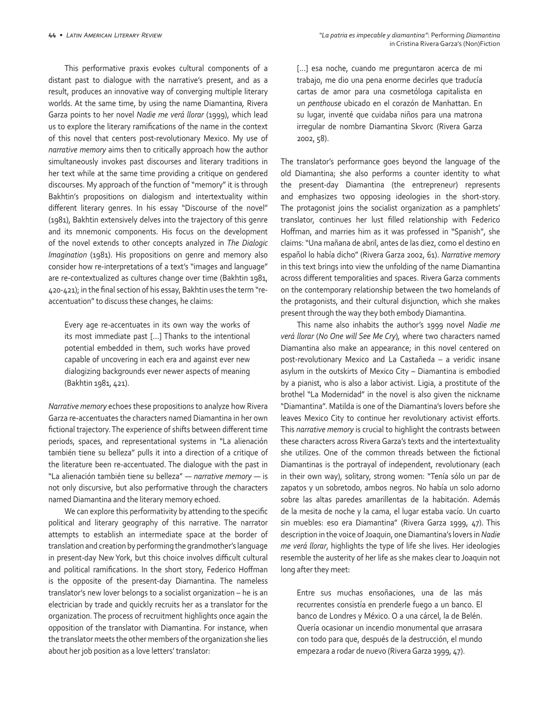This performative praxis evokes cultural components of a distant past to dialogue with the narrative's present, and as a result, produces an innovative way of converging multiple literary worlds. At the same time, by using the name Diamantina*,* Rivera Garza points to her novel *Nadie me verá llorar* (1999), which lead us to explore the literary ramifications of the name in the context of this novel that centers post-revolutionary Mexico. My use of *narrative memory* aims then to critically approach how the author simultaneously invokes past discourses and literary traditions in her text while at the same time providing a critique on gendered discourses. My approach of the function of "memory" it is through Bakhtin's propositions on dialogism and intertextuality within different literary genres. In his essay "Discourse of the novel" (1981), Bakhtin extensively delves into the trajectory of this genre and its mnemonic components. His focus on the development of the novel extends to other concepts analyzed in *The Dialogic Imagination* (1981). His propositions on genre and memory also consider how re-interpretations of a text's "images and language" are re-contextualized as cultures change over time (Bakhtin 1981, 420-421); in the final section of his essay, Bakhtin uses the term "reaccentuation" to discuss these changes, he claims:

Every age re-accentuates in its own way the works of its most immediate past […] Thanks to the intentional potential embedded in them, such works have proved capable of uncovering in each era and against ever new dialogizing backgrounds ever newer aspects of meaning (Bakhtin 1981, 421).

*Narrative memory* echoes these propositions to analyze how Rivera Garza re-accentuates the characters named Diamantina in her own fictional trajectory. The experience of shifts between different time periods, spaces, and representational systems in "La alienación también tiene su belleza" pulls it into a direction of a critique of the literature been re-accentuated. The dialogue with the past in "La alienación también tiene su belleza" — *narrative memory —* is not only discursive, but also performative through the characters named Diamantina and the literary memory echoed.

We can explore this performativity by attending to the specific political and literary geography of this narrative. The narrator attempts to establish an intermediate space at the border of translation and creation by performing the grandmother's language in present-day New York, but this choice involves difficult cultural and political ramifications. In the short story, Federico Hoffman is the opposite of the present-day Diamantina. The nameless translator's new lover belongs to a socialist organization – he is an electrician by trade and quickly recruits her as a translator for the organization. The process of recruitment highlights once again the opposition of the translator with Diamantina. For instance, when the translator meets the other members of the organization she lies about her job position as a love letters' translator:

[...] esa noche, cuando me preguntaron acerca de mi trabajo, me dio una pena enorme decirles que traducía cartas de amor para una cosmetóloga capitalista en un *penthouse* ubicado en el corazón de Manhattan. En su lugar, inventé que cuidaba niños para una matrona irregular de nombre Diamantina Skvorc (Rivera Garza 2002, 58).

The translator's performance goes beyond the language of the old Diamantina; she also performs a counter identity to what the present-day Diamantina (the entrepreneur) represents and emphasizes two opposing ideologies in the short-story. The protagonist joins the socialist organization as a pamphlets' translator, continues her lust filled relationship with Federico Hoffman, and marries him as it was professed in "Spanish", she claims: "Una mañana de abril, antes de las diez, como el destino en español lo había dicho" (Rivera Garza 2002, 61). *Narrative memory* in this text brings into view the unfolding of the name Diamantina across different temporalities and spaces. Rivera Garza comments on the contemporary relationship between the two homelands of the protagonists, and their cultural disjunction, which she makes present through the way they both embody Diamantina.

This name also inhabits the author's 1999 novel *Nadie me verá llorar* (*No One will See Me Cry*)*,* where two characters named Diamantina also make an appearance; in this novel centered on post-revolutionary Mexico and La Castañeda – a veridic insane asylum in the outskirts of Mexico City – Diamantina is embodied by a pianist, who is also a labor activist. Ligia, a prostitute of the brothel "La Modernidad" in the novel is also given the nickname "Diamantina". Matilda is one of the Diamantina's lovers before she leaves Mexico City to continue her revolutionary activist efforts. This *narrative memory* is crucial to highlight the contrasts between these characters across Rivera Garza's texts and the intertextuality she utilizes. One of the common threads between the fictional Diamantinas is the portrayal of independent, revolutionary (each in their own way), solitary, strong women: "Tenía sólo un par de zapatos y un sobretodo, ambos negros. No había un solo adorno sobre las altas paredes amarillentas de la habitación. Además de la mesita de noche y la cama, el lugar estaba vacío. Un cuarto sin muebles: eso era Diamantina" (Rivera Garza 1999, 47). This description in the voice of Joaquin, one Diamantina's lovers in *Nadie me verá llorar*, highlights the type of life she lives. Her ideologies resemble the austerity of her life as she makes clear to Joaquin not long after they meet:

Entre sus muchas ensoñaciones, una de las más recurrentes consistía en prenderle fuego a un banco. El banco de Londres y México. O a una cárcel, la de Belén. Quería ocasionar un incendio monumental que arrasara con todo para que, después de la destrucción, el mundo empezara a rodar de nuevo (Rivera Garza 1999, 47).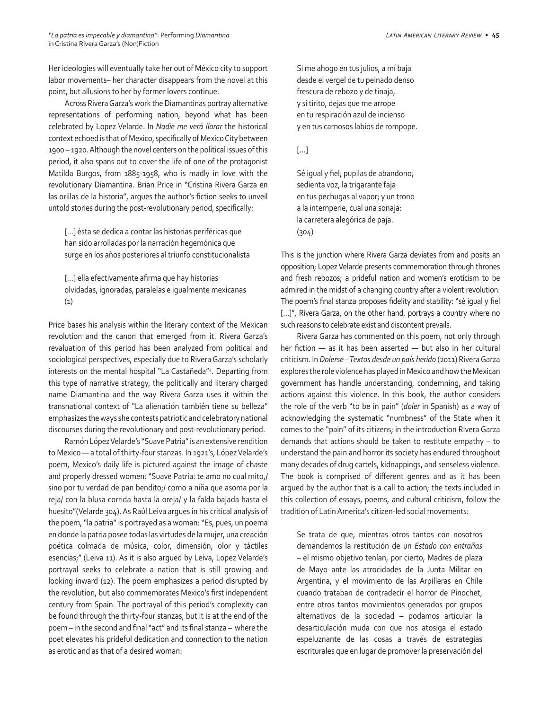Her ideologies will eventually take her out of México city to support labor movements– her character disappears from the novel at this point, but allusions to her by former lovers continue.

Across Rivera Garza's work the Diamantinas portray alternative representations of performing nation, beyond what has been celebrated by Lopez Velarde. In *Nadie me verá llorar* the historical context echoed is that of Mexico, specifically of Mexico City between 1900 – 1920. Although the novel centers on the political issues of this period, it also spans out to cover the life of one of the protagonist Matilda Burgos, from 1885-1958, who is madly in love with the revolutionary Diamantina. Brian Price in "Cristina Rivera Garza en las orillas de la historia", argues the author's fiction seeks to unveil untold stories during the post-revolutionary period, specifically:

[…] ésta se dedica a contar las historias periféricas que han sido arrolladas por la narración hegemónica que surge en los años posteriores al triunfo constitucionalista

[...] ella efectivamente afirma que hay historias olvidadas, ignoradas, paralelas e igualmente mexicanas (1)

Price bases his analysis within the literary context of the Mexican revolution and the canon that emerged from it. Rivera Garza's revaluation of this period has been analyzed from political and sociological perspectives, especially due to Rivera Garza's scholarly interests on the mental hospital "La Castañeda"4 . Departing from this type of narrative strategy, the politically and literary charged name Diamantina and the way Rivera Garza uses it within the transnational context of "La alienación también tiene su belleza" emphasizes the ways she contests patriotic and celebratory national discourses during the revolutionary and post-revolutionary period.

Ramón López Velarde's "Suave Patria" is an extensive rendition to Mexico — a total of thirty-four stanzas. In 1921's, López Velarde's poem, Mexico's daily life is pictured against the image of chaste and properly dressed women: "Suave Patria: te amo no cual mito,/ sino por tu verdad de pan bendito;/ como a niña que asoma por la reja/ con la blusa corrida hasta la oreja/ y la falda bajada hasta el huesito"(Velarde 304). As Raúl Leiva argues in his critical analysis of the poem, "la patria" is portrayed as a woman: "Es, pues, un poema en donde la patria posee todas las virtudes de la mujer, una creación poética colmada de música, color, dimensión, olor y táctiles esencias;" (Leiva 11). As it is also argued by Leiva, Lopez Velarde's portrayal seeks to celebrate a nation that is still growing and looking inward (12). The poem emphasizes a period disrupted by the revolution, but also commemorates Mexico's first independent century from Spain. The portrayal of this period's complexity can be found through the thirty-four stanzas, but it is at the end of the poem – in the second and final "act" and its final stanza – where the poet elevates his prideful dedication and connection to the nation as erotic and as that of a desired woman:

Si me ahogo en tus julios, a mí baja desde el vergel de tu peinado denso frescura de rebozo y de tinaja, y si tirito, dejas que me arrope en tu respiración azul de incienso y en tus carnosos labios de rompope.

[…]

Sé igual y fiel; pupilas de abandono; sedienta voz, la trigarante faja en tus pechugas al vapor; y un trono a la intemperie, cual una sonaja: la carretera alegórica de paja. (304)

This is the junction where Rivera Garza deviates from and posits an opposition; Lopez Velarde presents commemoration through thrones and fresh rebozos; a prideful nation and women's eroticism to be admired in the midst of a changing country after a violent revolution. The poem's final stanza proposes fidelity and stability: "sé igual y fiel [...]", Rivera Garza, on the other hand, portrays a country where no such reasons to celebrate exist and discontent prevails.

Rivera Garza has commented on this poem, not only through her fiction — as it has been asserted — but also in her cultural criticism. In *Dolerse – Textos desde un país herido* (2011) Rivera Garza explores the role violence has played in Mexico and how the Mexican government has handle understanding, condemning, and taking actions against this violence. In this book, the author considers the role of the verb "to be in pain" (*doler* in Spanish) as a way of acknowledging the systematic "numbness" of the State when it comes to the "pain" of its citizens; in the introduction Rivera Garza demands that actions should be taken to restitute empathy – to understand the pain and horror its society has endured throughout many decades of drug cartels, kidnappings, and senseless violence. The book is comprised of different genres and as it has been argued by the author that is a call to action; the texts included in this collection of essays, poems, and cultural criticism, follow the tradition of Latin America's citizen-led social movements:

Se trata de que, mientras otros tantos con nosotros demandemos la restitución de un *Estado con entrañas –* el mismo objetivo tenían, por cierto, Madres de plaza de Mayo ante las atrocidades de la Junta Militar en Argentina, y el movimiento de las Arpilleras en Chile cuando trataban de contradecir el horror de Pinochet, entre otros tantos movimientos generados por grupos alternativos de la sociedad – podamos articular la desarticulación muda con que nos atosiga el estado espeluznante de las cosas a través de estrategias escriturales que en lugar de promover la preservación del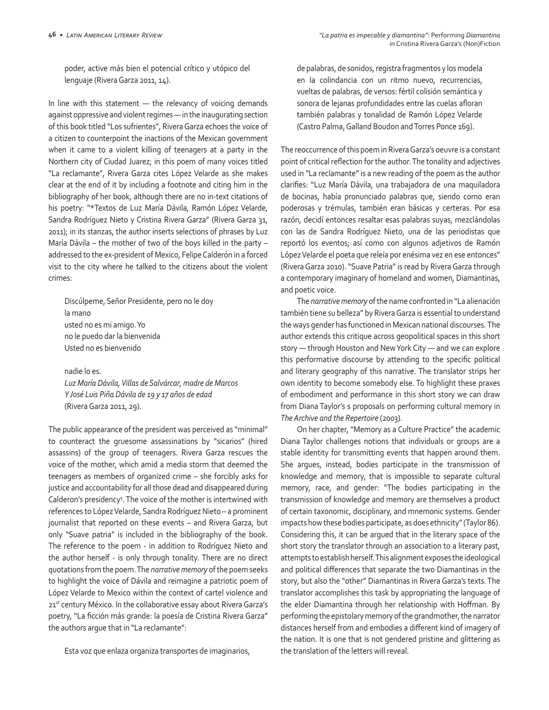poder, active más bien el potencial crítico y utópico del lenguaje (Rivera Garza 2011, 14).

In line with this statement — the relevancy of voicing demands against oppressive and violent regimes — in the inaugurating section of this book titled "Los sufrientes", Rivera Garza echoes the voice of a citizen to counterpoint the inactions of the Mexican government when it came to a violent killing of teenagers at a party in the Northern city of Ciudad Juarez; in this poem of many voices titled "La reclamante", Rivera Garza cites López Velarde as she makes clear at the end of it by including a footnote and citing him in the bibliography of her book, although there are no in-text citations of his poetry: "\*Textos de Luz María Dávila, Ramón López Velarde, Sandra Rodríguez Nieto y Cristina Rivera Garza" (Rivera Garza 31, 2011); in its stanzas, the author inserts selections of phrases by Luz María Dávila – the mother of two of the boys killed in the party – addressed to the ex-president of Mexico, Felipe Calderón in a forced visit to the city where he talked to the citizens about the violent crimes:

Discúlpeme, Señor Presidente, pero no le doy la mano usted no es mi amigo. Yo no le puedo dar la bienvenida Usted no es bienvenido

nadie lo es.

*Luz María Dávila, Villas de Salvárcar, madre de Marcos Y José Luis Piña Dávila de 19 y 17 años de edad*  (Rivera Garza 2011, 29).

The public appearance of the president was perceived as "minimal" to counteract the gruesome assassinations by "sicarios" (hired assassins) of the group of teenagers. Rivera Garza rescues the voice of the mother, which amid a media storm that deemed the teenagers as members of organized crime – she forcibly asks for justice and accountability for all those dead and disappeared during Calderon's presidency<sup>5</sup>. The voice of the mother is intertwined with references to López Velarde, Sandra Rodríguez Nieto – a prominent journalist that reported on these events – and Rivera Garza, but only "Suave patria" is included in the bibliography of the book. The reference to the poem - in addition to Rodríguez Nieto and the author herself - is only through tonality. There are no direct quotations from the poem. The *narrative memory* of the poem seeks to highlight the voice of Dávila and reimagine a patriotic poem of López Velarde to Mexico within the context of cartel violence and 21st century México. In the collaborative essay about Rivera Garza's poetry, "La ficción más grande: la poesía de Cristina Rivera Garza" the authors argue that in "La reclamante":

Esta voz que enlaza organiza transportes de imaginarios,

de palabras, de sonidos, registra fragmentos y los modela en la colindancia con un ritmo nuevo, recurrencias, vueltas de palabras, de versos: fértil colisión semántica y sonora de lejanas profundidades entre las cuelas afloran también palabras y tonalidad de Ramón López Velarde (Castro Palma, Galland Boudon and Torres Ponce 169).

The reoccurrence of this poem in Rivera Garza's oeuvre is a constant point of critical reflection for the author. The tonality and adjectives used in "La reclamante" is a new reading of the poem as the author clarifies: "Luz María Dávila, una trabajadora de una maquiladora de bocinas, había pronunciado palabras que, siendo como eran poderosas y trémulas, también eran básicas y certeras. Por esa razón, decidí entonces resaltar esas palabras suyas, mezclándolas con las de Sandra Rodríguez Nieto, una de las periodistas que reportó los eventos; así como con algunos adjetivos de Ramón López Velarde el poeta que releía por enésima vez en ese entonces" (Rivera Garza 2010). "Suave Patria" is read by Rivera Garza through a contemporary imaginary of homeland and women, Diamantinas, and poetic voice.

The *narrative memory* of the name confronted in "La alienación también tiene su belleza" by Rivera Garza is essential to understand the ways gender has functioned in Mexican national discourses*.* The author extends this critique across geopolitical spaces in this short story — through Houston and New York City — and we can explore this performative discourse by attending to the specific political and literary geography of this narrative. The translator strips her own identity to become somebody else. To highlight these praxes of embodiment and performance in this short story we can draw from Diana Taylor's s proposals on performing cultural memory in *The Archive and the Repertoire* (2003).

On her chapter, "Memory as a Culture Practice" the academic Diana Taylor challenges notions that individuals or groups are a stable identity for transmitting events that happen around them. She argues, instead, bodies participate in the transmission of knowledge and memory, that is impossible to separate cultural memory, race, and gender: "The bodies participating in the transmission of knowledge and memory are themselves a product of certain taxonomic, disciplinary, and mnemonic systems. Gender impacts how these bodies participate, as does ethnicity" (Taylor 86). Considering this, it can be argued that in the literary space of the short story the translator through an association to a literary past, attempts to establish herself. This alignment exposes the ideological and political differences that separate the two Diamantinas in the story, but also the "other" Diamantinas in Rivera Garza's texts. The translator accomplishes this task by appropriating the language of the elder Diamantina through her relationship with Hoffman. By performing the epistolary memory of the grandmother, the narrator distances herself from and embodies a different kind of imagery of the nation. It is one that is not gendered pristine and glittering as the translation of the letters will reveal.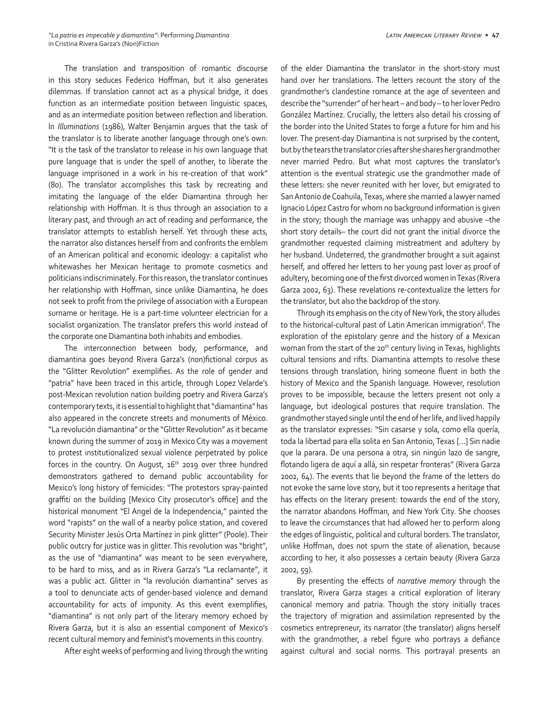The translation and transposition of romantic discourse in this story seduces Federico Hoffman, but it also generates dilemmas. If translation cannot act as a physical bridge, it does function as an intermediate position between linguistic spaces, and as an intermediate position between reflection and liberation. In *Illuminations* (1986), Walter Benjamin argues that the task of the translator is to liberate another language through one's own: "It is the task of the translator to release in his own language that pure language that is under the spell of another, to liberate the language imprisoned in a work in his re-creation of that work" (80). The translator accomplishes this task by recreating and imitating the language of the elder Diamantina through her relationship with Hoffman. It is thus through an association to a literary past, and through an act of reading and performance, the translator attempts to establish herself. Yet through these acts, the narrator also distances herself from and confronts the emblem of an American political and economic ideology: a capitalist who whitewashes her Mexican heritage to promote cosmetics and politicians indiscriminately. For this reason, the translator continues her relationship with Hoffman, since unlike Diamantina, he does not seek to profit from the privilege of association with a European surname or heritage. He is a part-time volunteer electrician for a socialist organization. The translator prefers this world instead of the corporate one Diamantina both inhabits and embodies.

The interconnection between body, performance, and diamantina goes beyond Rivera Garza's (non)fictional corpus as the "Glitter Revolution" exemplifies. As the role of gender and "patria" have been traced in this article, through Lopez Velarde's post-Mexican revolution nation building poetry and Rivera Garza's contemporary texts, it is essential to highlight that "diamantina" has also appeared in the concrete streets and monuments of México. "La revolución diamantina" or the "Glitter Revolution" as it became known during the summer of 2019 in Mexico City was a movement to protest institutionalized sexual violence perpetrated by police forces in the country. On August, 16<sup>th</sup> 2019 over three hundred demonstrators gathered to demand public accountability for Mexico's long history of femicides: "The protestors spray-painted graffiti on the building [Mexico City prosecutor's office] and the historical monument "El Angel de la Independencia," painted the word "rapists" on the wall of a nearby police station, and covered Security Minister Jesús Orta Martínez in pink glitter" (Poole). Their public outcry for justice was in glitter. This revolution was "bright", as the use of "diamantina" was meant to be seen everywhere, to be hard to miss, and as in Rivera Garza's "La reclamante", it was a public act. Glitter in "la revolución diamantina" serves as a tool to denunciate acts of gender-based violence and demand accountability for acts of impunity. As this event exemplifies, "diamantina" is not only part of the literary memory echoed by Rivera Garza, but it is also an essential component of Mexico's recent cultural memory and feminist's movements in this country.

After eight weeks of performing and living through the writing

of the elder Diamantina the translator in the short-story must hand over her translations. The letters recount the story of the grandmother's clandestine romance at the age of seventeen and describe the "surrender" of her heart – and body – to her lover Pedro González Martínez. Crucially, the letters also detail his crossing of the border into the United States to forge a future for him and his lover. The present-day Diamantina is not surprised by the content, but by the tears the translator cries after she shares her grandmother never married Pedro. But what most captures the translator's attention is the eventual strategic use the grandmother made of these letters: she never reunited with her lover, but emigrated to San Antonio de Coahuila, Texas, where she married a lawyer named Ignacio López Castro for whom no background information is given in the story; though the marriage was unhappy and abusive –the short story details– the court did not grant the initial divorce the grandmother requested claiming mistreatment and adultery by her husband. Undeterred, the grandmother brought a suit against herself, and offered her letters to her young past lover as proof of adultery, becoming one of the first divorced women in Texas (Rivera Garza 2002, 63). These revelations re-contextualize the letters for the translator, but also the backdrop of the story.

Through its emphasis on the city of New York, the story alludes to the historical-cultural past of Latin American immigration<sup>6</sup>. The exploration of the epistolary genre and the history of a Mexican woman from the start of the 20<sup>th</sup> century living in Texas, highlights cultural tensions and rifts. Diamantina attempts to resolve these tensions through translation, hiring someone fluent in both the history of Mexico and the Spanish language. However, resolution proves to be impossible, because the letters present not only a language, but ideological postures that require translation. The grandmother stayed single until the end of her life, and lived happily as the translator expresses: "Sin casarse y sola, como ella quería, toda la libertad para ella solita en San Antonio, Texas […] Sin nadie que la parara. De una persona a otra, sin ningún lazo de sangre, flotando ligera de aquí a allá, sin respetar fronteras" (Rivera Garza 2002, 64). The events that lie beyond the frame of the letters do not evoke the same love story, but it too represents a heritage that has effects on the literary present: towards the end of the story, the narrator abandons Hoffman, and New York City. She chooses to leave the circumstances that had allowed her to perform along the edges of linguistic, political and cultural borders. The translator, unlike Hoffman, does not spurn the state of alienation, because according to her, it also possesses a certain beauty (Rivera Garza 2002, 59).

By presenting the effects of *narrative memory* through the translator, Rivera Garza stages a critical exploration of literary canonical memory and patria. Though the story initially traces the trajectory of migration and assimilation represented by the cosmetics entrepreneur, its narrator (the translator) aligns herself with the grandmother, a rebel figure who portrays a defiance against cultural and social norms. This portrayal presents an